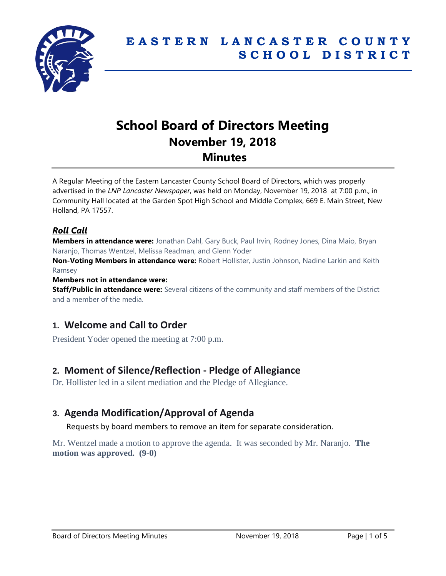

# **School Board of Directors Meeting November 19, 2018 Minutes**

A Regular Meeting of the Eastern Lancaster County School Board of Directors, which was properly advertised in the *LNP Lancaster Newspaper*, was held on Monday, November 19, 2018 at 7:00 p.m., in Community Hall located at the Garden Spot High School and Middle Complex, 669 E. Main Street, New Holland, PA 17557.

### *Roll Call*

**Members in attendance were:** Jonathan Dahl, Gary Buck, Paul Irvin, Rodney Jones, Dina Maio, Bryan Naranjo, Thomas Wentzel, Melissa Readman, and Glenn Yoder

**Non-Voting Members in attendance were:** Robert Hollister, Justin Johnson, Nadine Larkin and Keith Ramsey

#### **Members not in attendance were:**

**Staff/Public in attendance were:** Several citizens of the community and staff members of the District and a member of the media.

### **1. Welcome and Call to Order**

President Yoder opened the meeting at 7:00 p.m.

### **2. Moment of Silence/Reflection - Pledge of Allegiance**

Dr. Hollister led in a silent mediation and the Pledge of Allegiance.

### **3. Agenda Modification/Approval of Agenda**

Requests by board members to remove an item for separate consideration.

Mr. Wentzel made a motion to approve the agenda. It was seconded by Mr. Naranjo. **The motion was approved. (9-0)**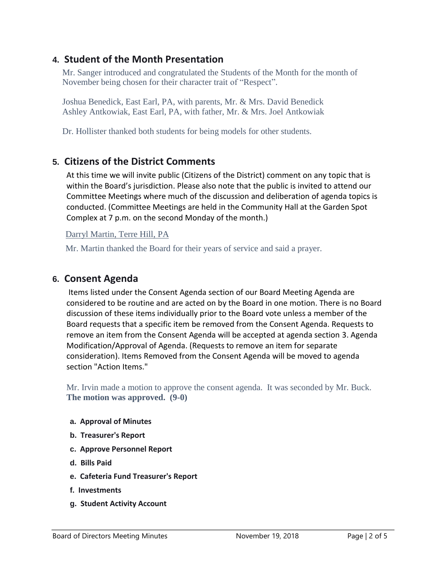# **4. Student of the Month Presentation**

Mr. Sanger introduced and congratulated the Students of the Month for the month of November being chosen for their character trait of "Respect".

Joshua Benedick, East Earl, PA, with parents, Mr. & Mrs. David Benedick Ashley Antkowiak, East Earl, PA, with father, Mr. & Mrs. Joel Antkowiak

Dr. Hollister thanked both students for being models for other students.

### **5. Citizens of the District Comments**

At this time we will invite public (Citizens of the District) comment on any topic that is within the Board's jurisdiction. Please also note that the public is invited to attend our Committee Meetings where much of the discussion and deliberation of agenda topics is conducted. (Committee Meetings are held in the Community Hall at the Garden Spot Complex at 7 p.m. on the second Monday of the month.)

#### Darryl Martin, Terre Hill, PA

Mr. Martin thanked the Board for their years of service and said a prayer.

### **6. Consent Agenda**

Items listed under the Consent Agenda section of our Board Meeting Agenda are considered to be routine and are acted on by the Board in one motion. There is no Board discussion of these items individually prior to the Board vote unless a member of the Board requests that a specific item be removed from the Consent Agenda. Requests to remove an item from the Consent Agenda will be accepted at agenda section 3. Agenda Modification/Approval of Agenda. (Requests to remove an item for separate consideration). Items Removed from the Consent Agenda will be moved to agenda section "Action Items."

Mr. Irvin made a motion to approve the consent agenda. It was seconded by Mr. Buck. **The motion was approved. (9-0)**

- **a. Approval of Minutes**
- **b. Treasurer's Report**
- **c. Approve Personnel Report**
- **d. Bills Paid**
- **e. Cafeteria Fund Treasurer's Report**
- **f. Investments**
- **g. Student Activity Account**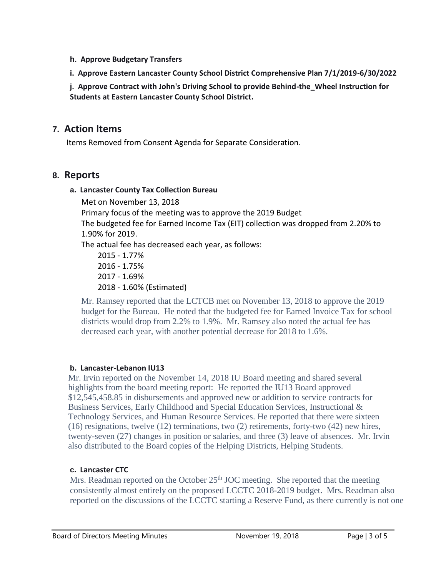#### **h. Approve Budgetary Transfers**

**i. Approve Eastern Lancaster County School District Comprehensive Plan 7/1/2019-6/30/2022**

**j. Approve Contract with John's Driving School to provide Behind-the\_Wheel Instruction for Students at Eastern Lancaster County School District.**

### **7. Action Items**

Items Removed from Consent Agenda for Separate Consideration.

### **8. Reports**

#### **a. Lancaster County Tax Collection Bureau**

Met on November 13, 2018 Primary focus of the meeting was to approve the 2019 Budget The budgeted fee for Earned Income Tax (EIT) collection was dropped from 2.20% to 1.90% for 2019.

The actual fee has decreased each year, as follows:

2015 - 1.77% 2016 - 1.75% 2017 - 1.69% 2018 - 1.60% (Estimated)

Mr. Ramsey reported that the LCTCB met on November 13, 2018 to approve the 2019 budget for the Bureau. He noted that the budgeted fee for Earned Invoice Tax for school districts would drop from 2.2% to 1.9%. Mr. Ramsey also noted the actual fee has decreased each year, with another potential decrease for 2018 to 1.6%.

#### **b. Lancaster-Lebanon IU13**

Mr. Irvin reported on the November 14, 2018 IU Board meeting and shared several highlights from the board meeting report: He reported the IU13 Board approved \$12,545,458.85 in disbursements and approved new or addition to service contracts for Business Services, Early Childhood and Special Education Services, Instructional & Technology Services, and Human Resource Services. He reported that there were sixteen  $(16)$  resignations, twelve  $(12)$  terminations, two  $(2)$  retirements, forty-two  $(42)$  new hires, twenty-seven (27) changes in position or salaries, and three (3) leave of absences. Mr. Irvin also distributed to the Board copies of the Helping Districts, Helping Students.

### **c. Lancaster CTC**

Mrs. Readman reported on the October  $25<sup>th</sup>$  JOC meeting. She reported that the meeting consistently almost entirely on the proposed LCCTC 2018-2019 budget. Mrs. Readman also reported on the discussions of the LCCTC starting a Reserve Fund, as there currently is not one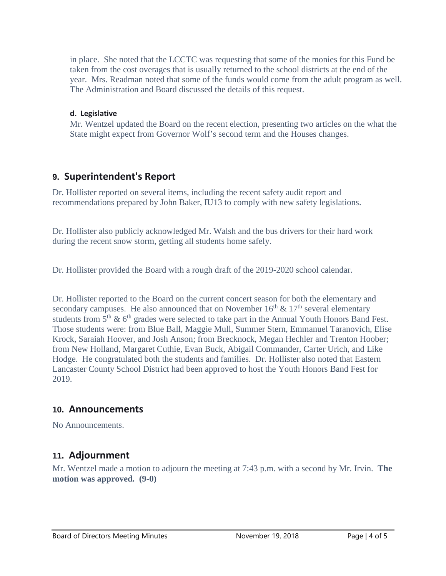in place. She noted that the LCCTC was requesting that some of the monies for this Fund be taken from the cost overages that is usually returned to the school districts at the end of the year. Mrs. Readman noted that some of the funds would come from the adult program as well. The Administration and Board discussed the details of this request.

#### **d. Legislative**

Mr. Wentzel updated the Board on the recent election, presenting two articles on the what the State might expect from Governor Wolf's second term and the Houses changes.

# **9. Superintendent's Report**

Dr. Hollister reported on several items, including the recent safety audit report and recommendations prepared by John Baker, IU13 to comply with new safety legislations.

Dr. Hollister also publicly acknowledged Mr. Walsh and the bus drivers for their hard work during the recent snow storm, getting all students home safely.

Dr. Hollister provided the Board with a rough draft of the 2019-2020 school calendar.

Dr. Hollister reported to the Board on the current concert season for both the elementary and secondary campuses. He also announced that on November  $16<sup>th</sup> \& 17<sup>th</sup>$  several elementary students from  $5<sup>th</sup>$  &  $6<sup>th</sup>$  grades were selected to take part in the Annual Youth Honors Band Fest. Those students were: from Blue Ball, Maggie Mull, Summer Stern, Emmanuel Taranovich, Elise Krock, Saraiah Hoover, and Josh Anson; from Brecknock, Megan Hechler and Trenton Hoober; from New Holland, Margaret Cuthie, Evan Buck, Abigail Commander, Carter Urich, and Like Hodge. He congratulated both the students and families. Dr. Hollister also noted that Eastern Lancaster County School District had been approved to host the Youth Honors Band Fest for 2019.

### **10. Announcements**

No Announcements.

# **11. Adjournment**

Mr. Wentzel made a motion to adjourn the meeting at 7:43 p.m. with a second by Mr. Irvin. **The motion was approved. (9-0)**